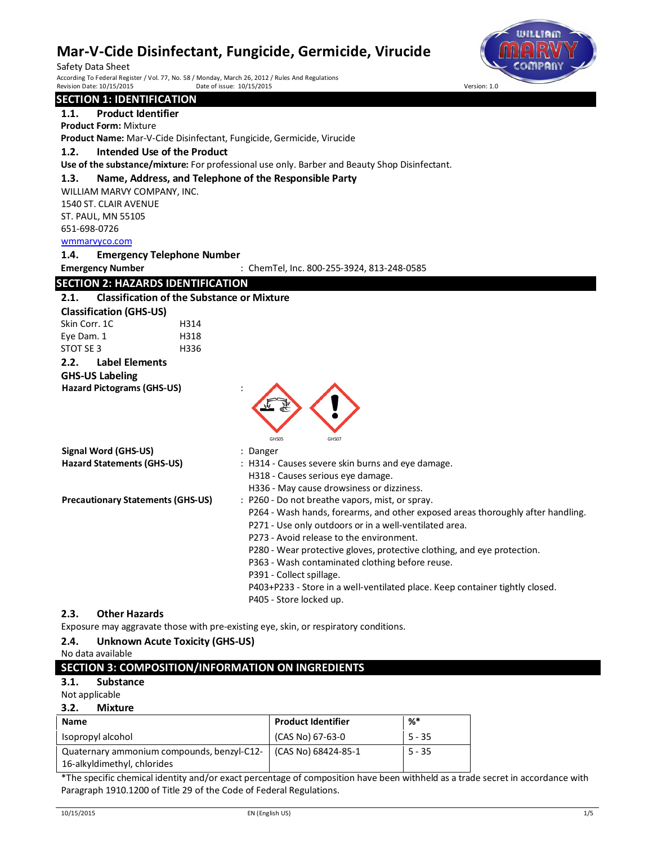Safety Data Sheet<br>According To Federal Register / Vol. 77, No. 58 / Monday, March 26, 2012 / Rules And Regulations<br>Revision Date: 10/15/2015 Pate of issue: 10/15/2015 Persion: 1.0 Date of issue: 10/15/2015



## **SECTION 1: IDENTIFICATION 1.1. Product Identifier Product Form:** Mixture **Product Name:** Mar-V-Cide Disinfectant, Fungicide, Germicide, Virucide **1.2. Intended Use of the Product Use of the substance/mixture:** For professional use only. Barber and Beauty Shop Disinfectant. **1.3. Name, Address, and Telephone of the Responsible Party** WILLIAM MARVY COMPANY, INC. 1540 ST. CLAIR AVENUE ST. PAUL, MN 55105 651-698-0726 wmmarvyco.com **1.4. Emergency Telephone Number Emergency Number** : ChemTel, Inc. 800-255-3924, 813-248-0585 **SECTION 2: HAZARDS IDENTIFICATION 2.1. Classification of the Substance or Mixture Classification (GHS-US)** Skin Corr. 1C 
H314 Eye Dam. 1 H318 STOT SE 3 H336 **2.2. Label Elements GHS-US Labeling Hazard Pictograms (GHS-US)** : GHS05 GHS07 **Signal Word (GHS-US)** : Danger **Hazard Statements (GHS-US)** : H314 - Causes severe skin burns and eye damage. H318 - Causes serious eye damage. H336 - May cause drowsiness or dizziness. **Precautionary Statements (GHS-US) : P260 - Do not breathe vapors, mist, or spray.** P264 - Wash hands, forearms, and other exposed areas thoroughly after handling. P271 - Use only outdoors or in a well-ventilated area. P273 - Avoid release to the environment. P280 - Wear protective gloves, protective clothing, and eye protection. P363 - Wash contaminated clothing before reuse. P391 - Collect spillage. P403+P233 - Store in a well-ventilated place. Keep container tightly closed. P405 - Store locked up. **2.3. Other Hazards** Exposure may aggravate those with pre-existing eye, skin, or respiratory conditions. **2.4. Unknown Acute Toxicity (GHS-US)**

No data available

## **SECTION 3: COMPOSITION/INFORMATION ON INGREDIENTS**

**3.1. Substance**

### Not applicable

## **3.2. Mixture**

| <b>Name</b>                                | <b>Product Identifier</b> | %*       |
|--------------------------------------------|---------------------------|----------|
| Isopropyl alcohol                          | (CAS No) 67-63-0          | $5 - 35$ |
| Quaternary ammonium compounds, benzyl-C12- | (CAS No) 68424-85-1       | 5 - 35   |
| 16-alkyldimethyl, chlorides                |                           |          |

\*The specific chemical identity and/or exact percentage of composition have been withheld as a trade secret in accordance with Paragraph 1910.1200 of Title 29 of the Code of Federal Regulations.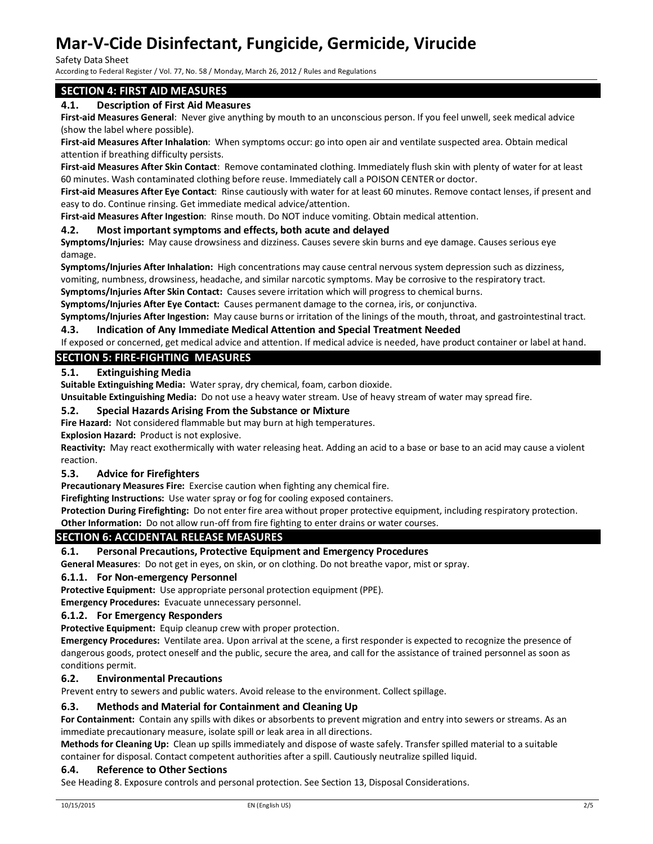Safety Data Sheet

According to Federal Register / Vol. 77, No. 58 / Monday, March 26, 2012 / Rules and Regulations

## **SECTION 4: FIRST AID MEASURES**

## **4.1. Description of First Aid Measures**

**First-aid Measures General**: Never give anything by mouth to an unconscious person. If you feel unwell, seek medical advice (show the label where possible).

**First-aid Measures After Inhalation**: When symptoms occur: go into open air and ventilate suspected area. Obtain medical attention if breathing difficulty persists.

**First-aid Measures After Skin Contact**: Remove contaminated clothing. Immediately flush skin with plenty of water for at least 60 minutes. Wash contaminated clothing before reuse. Immediately call a POISON CENTER or doctor.

**First-aid Measures After Eye Contact**: Rinse cautiously with water for at least 60 minutes. Remove contact lenses, if present and easy to do. Continue rinsing. Get immediate medical advice/attention.

**First-aid Measures After Ingestion**: Rinse mouth. Do NOT induce vomiting. Obtain medical attention.

### **4.2. Most important symptoms and effects, both acute and delayed**

**Symptoms/Injuries:** May cause drowsiness and dizziness. Causes severe skin burns and eye damage. Causes serious eye damage.

**Symptoms/Injuries After Inhalation:** High concentrations may cause central nervous system depression such as dizziness, vomiting, numbness, drowsiness, headache, and similar narcotic symptoms. May be corrosive to the respiratory tract.

**Symptoms/Injuries After Skin Contact:** Causes severe irritation which will progress to chemical burns.

**Symptoms/Injuries After Eye Contact:** Causes permanent damage to the cornea, iris, or conjunctiva.

**Symptoms/Injuries After Ingestion:** May cause burns or irritation of the linings of the mouth, throat, and gastrointestinal tract.

### **4.3. Indication of Any Immediate Medical Attention and Special Treatment Needed**

If exposed or concerned, get medical advice and attention. If medical advice is needed, have product container or label at hand.

## **SECTION 5: FIRE-FIGHTING MEASURES**

## **5.1. Extinguishing Media**

**Suitable Extinguishing Media:** Water spray, dry chemical, foam, carbon dioxide.

**Unsuitable Extinguishing Media:** Do not use a heavy water stream. Use of heavy stream of water may spread fire.

### **5.2. Special Hazards Arising From the Substance or Mixture**

**Fire Hazard:** Not considered flammable but may burn at high temperatures.

**Explosion Hazard:** Product is not explosive.

**Reactivity:** May react exothermically with water releasing heat. Adding an acid to a base or base to an acid may cause a violent reaction.

### **5.3. Advice for Firefighters**

**Precautionary Measures Fire:** Exercise caution when fighting any chemical fire.

**Firefighting Instructions:** Use water spray or fog for cooling exposed containers.

**Protection During Firefighting:** Do not enter fire area without proper protective equipment, including respiratory protection. **Other Information:** Do not allow run-off from fire fighting to enter drains or water courses.

## **SECTION 6: ACCIDENTAL RELEASE MEASURES**

### **6.1. Personal Precautions, Protective Equipment and Emergency Procedures**

**General Measures**: Do not get in eyes, on skin, or on clothing. Do not breathe vapor, mist or spray.

### **6.1.1. For Non-emergency Personnel**

**Protective Equipment:** Use appropriate personal protection equipment (PPE).

**Emergency Procedures:** Evacuate unnecessary personnel.

#### **6.1.2. For Emergency Responders**

**Protective Equipment:** Equip cleanup crew with proper protection.

**Emergency Procedures:** Ventilate area. Upon arrival at the scene, a first responder is expected to recognize the presence of dangerous goods, protect oneself and the public, secure the area, and call for the assistance of trained personnel as soon as conditions permit.

### **6.2. Environmental Precautions**

Prevent entry to sewers and public waters. Avoid release to the environment. Collect spillage.

### **6.3. Methods and Material for Containment and Cleaning Up**

**For Containment:** Contain any spills with dikes or absorbents to prevent migration and entry into sewers or streams. As an immediate precautionary measure, isolate spill or leak area in all directions.

**Methods for Cleaning Up:** Clean up spills immediately and dispose of waste safely. Transfer spilled material to a suitable container for disposal. Contact competent authorities after a spill. Cautiously neutralize spilled liquid.

#### **6.4. Reference to Other Sections**

See Heading 8. Exposure controls and personal protection. See Section 13, Disposal Considerations.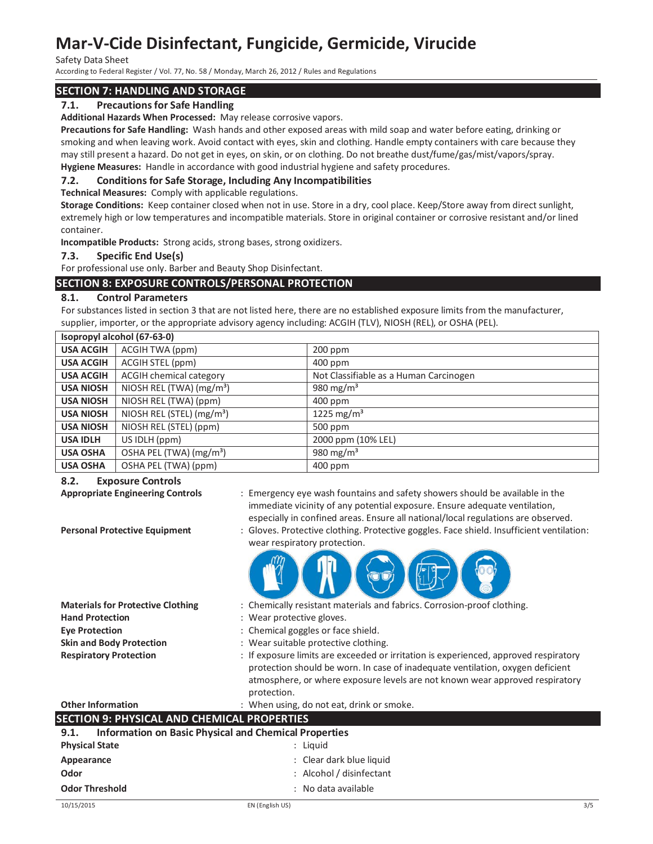Safety Data Sheet

According to Federal Register / Vol. 77, No. 58 / Monday, March 26, 2012 / Rules and Regulations

## **SECTION 7: HANDLING AND STORAGE**

## **7.1. Precautions for Safe Handling**

**Additional Hazards When Processed:** May release corrosive vapors.

**Precautions for Safe Handling:** Wash hands and other exposed areas with mild soap and water before eating, drinking or smoking and when leaving work. Avoid contact with eyes, skin and clothing. Handle empty containers with care because they may still present a hazard. Do not get in eyes, on skin, or on clothing. Do not breathe dust/fume/gas/mist/vapors/spray. **Hygiene Measures:** Handle in accordance with good industrial hygiene and safety procedures.

## **7.2. Conditions for Safe Storage, Including Any Incompatibilities**

**Technical Measures:** Comply with applicable regulations.

**Storage Conditions:** Keep container closed when not in use. Store in a dry, cool place. Keep/Store away from direct sunlight, extremely high or low temperatures and incompatible materials. Store in original container or corrosive resistant and/or lined container.

**Incompatible Products:** Strong acids, strong bases, strong oxidizers.

### **7.3. Specific End Use(s)**

For professional use only. Barber and Beauty Shop Disinfectant.

## **SECTION 8: EXPOSURE CONTROLS/PERSONAL PROTECTION**

### **8.1. Control Parameters**

For substances listed in section 3 that are not listed here, there are no established exposure limits from the manufacturer, supplier, importer, or the appropriate advisory agency including: ACGIH (TLV), NIOSH (REL), or OSHA (PEL).

| Isopropyl alcohol (67-63-0) |                                       |                                        |  |
|-----------------------------|---------------------------------------|----------------------------------------|--|
| <b>USA ACGIH</b>            | ACGIH TWA (ppm)                       | 200 ppm                                |  |
| <b>USA ACGIH</b>            | ACGIH STEL (ppm)                      | 400 ppm                                |  |
| <b>USA ACGIH</b>            | <b>ACGIH chemical category</b>        | Not Classifiable as a Human Carcinogen |  |
| <b>USA NIOSH</b>            | NIOSH REL (TWA) (mg/m <sup>3</sup> )  | 980 mg/m <sup>3</sup>                  |  |
| <b>USA NIOSH</b>            | NIOSH REL (TWA) (ppm)                 | $400$ ppm                              |  |
| <b>USA NIOSH</b>            | NIOSH REL (STEL) (mg/m <sup>3</sup> ) | 1225 mg/m <sup>3</sup>                 |  |
| <b>USA NIOSH</b>            | NIOSH REL (STEL) (ppm)                | $500$ ppm                              |  |
| <b>USA IDLH</b>             | US IDLH (ppm)                         | 2000 ppm (10% LEL)                     |  |
| <b>USA OSHA</b>             | OSHA PEL (TWA) (mg/m <sup>3</sup> )   | 980 mg/m <sup>3</sup>                  |  |
| <b>USA OSHA</b>             | OSHA PEL (TWA) (ppm)                  | $400$ ppm                              |  |

### **8.2. Exposure Controls**

- **Appropriate Engineering Controls** : Emergency eye wash fountains and safety showers should be available in the immediate vicinity of any potential exposure. Ensure adequate ventilation, especially in confined areas. Ensure all national/local regulations are observed.
- **Personal Protective Equipment** : Gloves. Protective clothing. Protective goggles. Face shield. Insufficient ventilation: wear respiratory protection.



- **Materials for Protective Clothing** : Chemically resistant materials and fabrics. Corrosion-proof clothing.
- **Hand Protection** : Wear protective gloves.
- **Eye Protection** : Chemical goggles or face shield.
- **Skin and Body Protection** : Wear suitable protective clothing.
- **Respiratory Protection** : If exposure limits are exceeded or irritation is experienced, approved respiratory protection should be worn. In case of inadequate ventilation, oxygen deficient atmosphere, or where exposure levels are not known wear approved respiratory protection.

#### **Other Information** : When using, do not eat, drink or smoke.

## **SECTION 9: PHYSICAL AND CHEMICAL PROPERTIES 9.1. Information on Basic Physical and Chemical Properties**

| フ・エ・<br>information on basic Physical and Chemical Properties |  |  |
|---------------------------------------------------------------|--|--|
| : Liauid                                                      |  |  |
| : Clear dark blue liquid                                      |  |  |
| : Alcohol / disinfectant                                      |  |  |
| : No data available                                           |  |  |
|                                                               |  |  |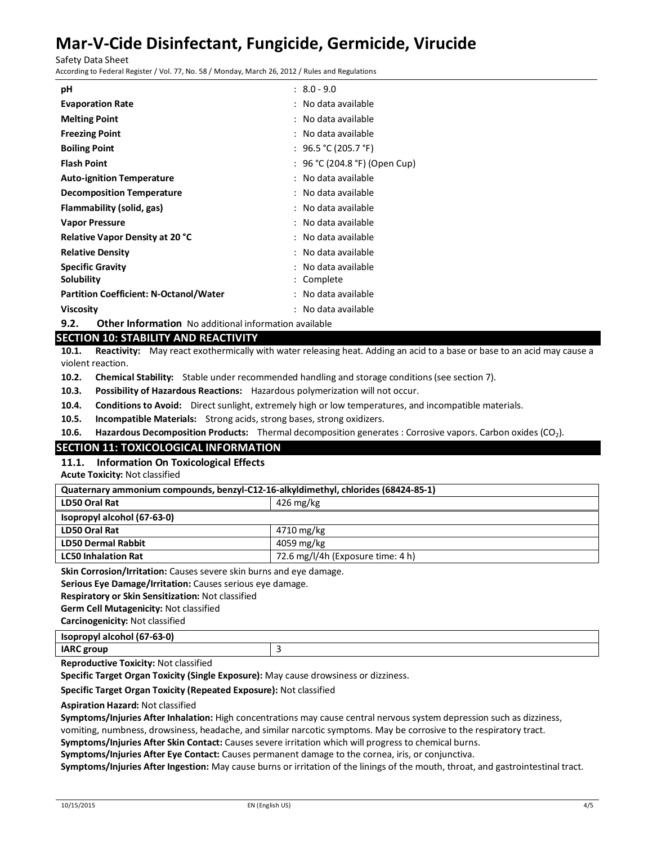Safety Data Sheet

According to Federal Register / Vol. 77, No. 58 / Monday, March 26, 2012 / Rules and Regulations

| рH                                            | $: 8.0 - 9.0$                 |
|-----------------------------------------------|-------------------------------|
| <b>Evaporation Rate</b>                       | : No data available           |
| <b>Melting Point</b>                          | : No data available           |
| <b>Freezing Point</b>                         | : No data available           |
| <b>Boiling Point</b>                          | : 96.5 ℃ (205.7 °F)           |
| <b>Flash Point</b>                            | : 96 °C (204.8 °F) (Open Cup) |
| <b>Auto-ignition Temperature</b>              | : No data available           |
| <b>Decomposition Temperature</b>              | : No data available           |
| Flammability (solid, gas)                     | : No data available           |
| <b>Vapor Pressure</b>                         | : No data available           |
| <b>Relative Vapor Density at 20 °C</b>        | : No data available           |
| <b>Relative Density</b>                       | : No data available           |
| <b>Specific Gravity</b>                       | : No data available           |
| Solubility                                    | : Complete                    |
| <b>Partition Coefficient: N-Octanol/Water</b> | : No data available           |
| <b>Viscosity</b>                              | : No data available           |

**9.2. Other Information** No additional information available

## **SECTION 10: STABILITY AND REACTIVITY**

**10.1. Reactivity:** May react exothermically with water releasing heat. Adding an acid to a base or base to an acid may cause a violent reaction.

**10.2. Chemical Stability:** Stable under recommended handling and storage conditions (see section 7).

**10.3. Possibility of Hazardous Reactions:** Hazardous polymerization will not occur.

**10.4. Conditions to Avoid:** Direct sunlight, extremely high or low temperatures, and incompatible materials.

**10.5. Incompatible Materials:** Strong acids, strong bases, strong oxidizers.

**10.6. Hazardous Decomposition Products:** Thermal decomposition generates : Corrosive vapors. Carbon oxides (CO<sub>2</sub>).

## **SECTION 11: TOXICOLOGICAL INFORMATION**

**11.1. Information On Toxicological Effects**

**Acute Toxicity:** Not classified

| LD50 Oral Rat<br>426 mg/kg<br>Isopropyl alcohol (67-63-0)       | Quaternary ammonium compounds, benzyl-C12-16-alkyldimethyl, chlorides (68424-85-1) |  |  |  |
|-----------------------------------------------------------------|------------------------------------------------------------------------------------|--|--|--|
|                                                                 |                                                                                    |  |  |  |
|                                                                 |                                                                                    |  |  |  |
| LD50 Oral Rat<br>4710 mg/kg                                     |                                                                                    |  |  |  |
| <b>LD50 Dermal Rabbit</b><br>4059 mg/kg                         |                                                                                    |  |  |  |
| 72.6 mg/l/4h (Exposure time: 4 h)<br><b>LC50 Inhalation Rat</b> |                                                                                    |  |  |  |

**Skin Corrosion/Irritation:** Causes severe skin burns and eye damage.

**Serious Eye Damage/Irritation:** Causes serious eye damage.

**Respiratory or Skin Sensitization:** Not classified

**Germ Cell Mutagenicity:** Not classified

**Carcinogenicity:** Not classified

**Isopropyl alcohol (67-63-0)**

**IARC group** 3

**Reproductive Toxicity:** Not classified

**Specific Target Organ Toxicity (Single Exposure):** May cause drowsiness or dizziness.

## **Specific Target Organ Toxicity (Repeated Exposure):** Not classified

### **Aspiration Hazard:** Not classified

**Symptoms/Injuries After Inhalation:** High concentrations may cause central nervous system depression such as dizziness,

vomiting, numbness, drowsiness, headache, and similar narcotic symptoms. May be corrosive to the respiratory tract.

**Symptoms/Injuries After Skin Contact:** Causes severe irritation which will progress to chemical burns. **Symptoms/Injuries After Eye Contact:** Causes permanent damage to the cornea, iris, or conjunctiva.

**Symptoms/Injuries After Ingestion:** May cause burns or irritation of the linings of the mouth, throat, and gastrointestinal tract.